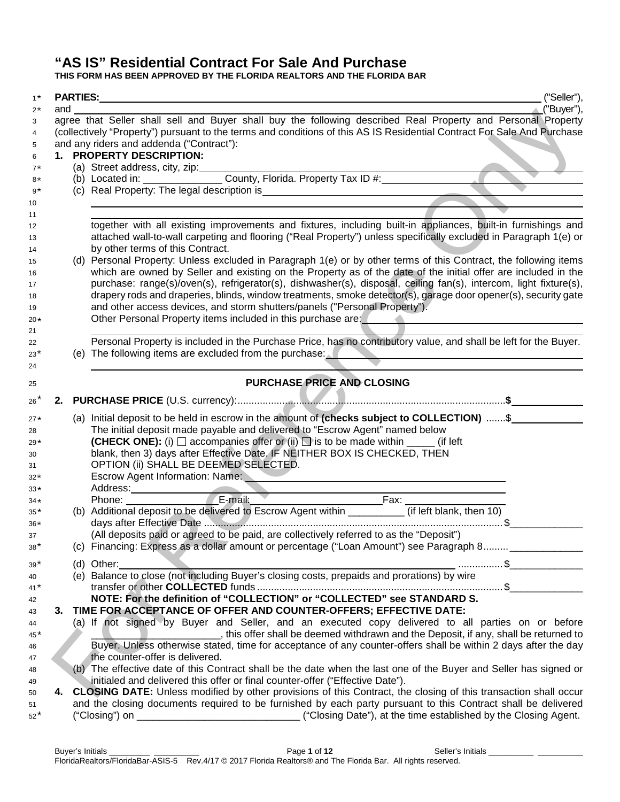# **"AS IS" Residential Contract For Sale And Purchase**

**THIS FORM HAS BEEN APPROVED BY THE FLORIDA REALTORS AND THE FLORIDA BAR**

|     | ("Seller"),<br><b>PARTIES:</b>                                                                                                                                                                                                                                                                                    |
|-----|-------------------------------------------------------------------------------------------------------------------------------------------------------------------------------------------------------------------------------------------------------------------------------------------------------------------|
| and | ("Buyer"),                                                                                                                                                                                                                                                                                                        |
|     | agree that Seller shall sell and Buyer shall buy the following described Real Property and Personal Property<br>(collectively "Property") pursuant to the terms and conditions of this AS IS Residential Contract For Sale And Purchase                                                                           |
|     | and any riders and addenda ("Contract"):<br>1. PROPERTY DESCRIPTION:                                                                                                                                                                                                                                              |
|     |                                                                                                                                                                                                                                                                                                                   |
|     | (a) Street address, city, zip:<br>(b) Located in: _____________________County, Florida. Property Tax ID #:                                                                                                                                                                                                        |
|     |                                                                                                                                                                                                                                                                                                                   |
|     |                                                                                                                                                                                                                                                                                                                   |
|     |                                                                                                                                                                                                                                                                                                                   |
|     | together with all existing improvements and fixtures, including built-in appliances, built-in furnishings and<br>attached wall-to-wall carpeting and flooring ("Real Property") unless specifically excluded in Paragraph 1(e) or<br>by other terms of this Contract.                                             |
|     | (d) Personal Property: Unless excluded in Paragraph 1(e) or by other terms of this Contract, the following items<br>which are owned by Seller and existing on the Property as of the date of the initial offer are included in the                                                                                |
|     | purchase: range(s)/oven(s), refrigerator(s), dishwasher(s), disposal, ceiling fan(s), intercom, light fixture(s),<br>drapery rods and draperies, blinds, window treatments, smoke detector(s), garage door opener(s), security gate<br>and other access devices, and storm shutters/panels ("Personal Property"). |
|     | Other Personal Property items included in this purchase are:                                                                                                                                                                                                                                                      |
|     | Personal Property is included in the Purchase Price, has no contributory value, and shall be left for the Buyer.                                                                                                                                                                                                  |
|     | (e) The following items are excluded from the purchase:                                                                                                                                                                                                                                                           |
|     | PURCHASE PRICE AND CLOSING                                                                                                                                                                                                                                                                                        |
| 2.  |                                                                                                                                                                                                                                                                                                                   |
|     | (a) Initial deposit to be held in escrow in the amount of (checks subject to COLLECTION) \$                                                                                                                                                                                                                       |
|     | The initial deposit made payable and delivered to "Escrow Agent" named below                                                                                                                                                                                                                                      |
|     | <b>(CHECK ONE):</b> (i) $\Box$ accompanies offer or (ii) $\Box$ is to be made within _____ (if left                                                                                                                                                                                                               |
|     | blank, then 3) days after Effective Date. IF NEITHER BOX IS CHECKED, THEN                                                                                                                                                                                                                                         |
|     | OPTION (ii) SHALL BE DEEMED SELECTED.                                                                                                                                                                                                                                                                             |
|     | Escrow Agent Information: Name: Value Andrew Value Agent Information: Name: Value Agent Information: Name: Value                                                                                                                                                                                                  |
|     |                                                                                                                                                                                                                                                                                                                   |
|     |                                                                                                                                                                                                                                                                                                                   |
|     |                                                                                                                                                                                                                                                                                                                   |
|     |                                                                                                                                                                                                                                                                                                                   |
|     | (All deposits paid or agreed to be paid, are collectively referred to as the "Deposit")                                                                                                                                                                                                                           |
|     | (c) Financing: Express as a dollar amount or percentage ("Loan Amount") see Paragraph 8 _____________                                                                                                                                                                                                             |
|     | (d) Other:                                                                                                                                                                                                                                                                                                        |
|     | (e) Balance to close (not including Buyer's closing costs, prepaids and prorations) by wire                                                                                                                                                                                                                       |
|     |                                                                                                                                                                                                                                                                                                                   |
|     | NOTE: For the definition of "COLLECTION" or "COLLECTED" see STANDARD S.                                                                                                                                                                                                                                           |
| 3.  | TIME FOR ACCEPTANCE OF OFFER AND COUNTER-OFFERS; EFFECTIVE DATE:                                                                                                                                                                                                                                                  |
|     | (a) If not signed by Buyer and Seller, and an executed copy delivered to all parties on or before                                                                                                                                                                                                                 |
|     | , this offer shall be deemed withdrawn and the Deposit, if any, shall be returned to                                                                                                                                                                                                                              |
|     | Buyer. Unless otherwise stated, time for acceptance of any counter-offers shall be within 2 days after the day                                                                                                                                                                                                    |
|     | the counter-offer is delivered.                                                                                                                                                                                                                                                                                   |
|     |                                                                                                                                                                                                                                                                                                                   |
|     |                                                                                                                                                                                                                                                                                                                   |
|     | (b) The effective date of this Contract shall be the date when the last one of the Buyer and Seller has signed or                                                                                                                                                                                                 |
|     | initialed and delivered this offer or final counter-offer ("Effective Date").                                                                                                                                                                                                                                     |
| 4.  | <b>CLOSING DATE:</b> Unless modified by other provisions of this Contract, the closing of this transaction shall occur<br>and the closing documents required to be furnished by each party pursuant to this Contract shall be delivered                                                                           |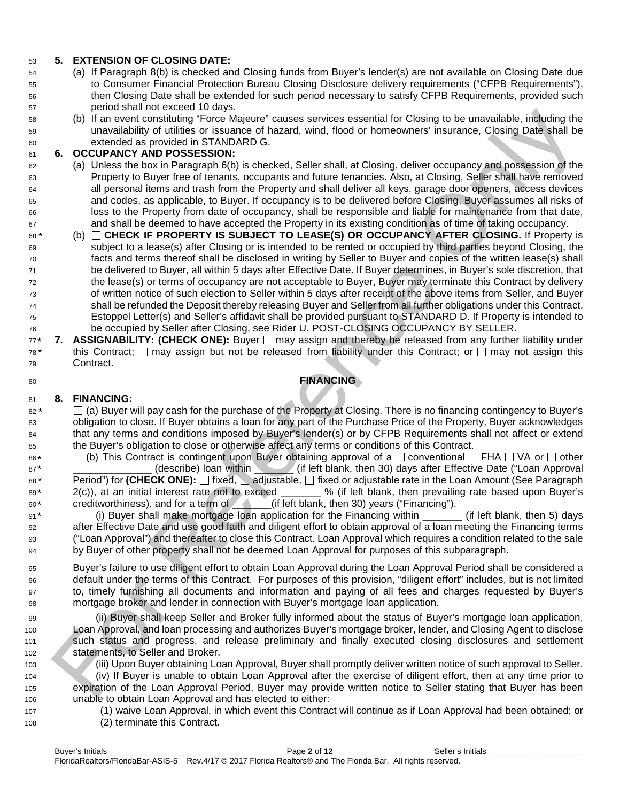## **5. EXTENSION OF CLOSING DATE:**

- (a) If Paragraph 8(b) is checked and Closing funds from Buyer's lender(s) are not available on Closing Date due to Consumer Financial Protection Bureau Closing Disclosure delivery requirements ("CFPB Requirements"), then Closing Date shall be extended for such period necessary to satisfy CFPB Requirements, provided such period shall not exceed 10 days.
- (b) If an event constituting "Force Majeure" causes services essential for Closing to be unavailable, including the unavailability of utilities or issuance of hazard, wind, flood or homeowners' insurance, Closing Date shall be extended as provided in STANDARD G.

#### **6. OCCUPANCY AND POSSESSION:**

- (a) Unless the box in Paragraph 6(b) is checked, Seller shall, at Closing, deliver occupancy and possession of the Property to Buyer free of tenants, occupants and future tenancies. Also, at Closing, Seller shall have removed all personal items and trash from the Property and shall deliver all keys, garage door openers, access devices and codes, as applicable, to Buyer. If occupancy is to be delivered before Closing, Buyer assumes all risks of 66 loss to the Property from date of occupancy, shall be responsible and liable for maintenance from that date, and shall be deemed to have accepted the Property in its existing condition as of time of taking occupancy.
- (b) If we work consider the record of the reside of the second of the second of the second of the second of the second of the second of the second of the second of the second of the second of the second of the second of th (b) **CHECK IF PROPERTY IS SUBJECT TO LEASE(S) OR OCCUPANCY AFTER CLOSING.** If Property is subject to a lease(s) after Closing or is intended to be rented or occupied by third parties beyond Closing, the facts and terms thereof shall be disclosed in writing by Seller to Buyer and copies of the written lease(s) shall be delivered to Buyer, all within 5 days after Effective Date. If Buyer determines, in Buyer's sole discretion, that the lease(s) or terms of occupancy are not acceptable to Buyer, Buyer may terminate this Contract by delivery of written notice of such election to Seller within 5 days after receipt of the above items from Seller, and Buyer shall be refunded the Deposit thereby releasing Buyer and Seller from all further obligations under this Contract. Estoppel Letter(s) and Seller's affidavit shall be provided pursuant to STANDARD D. If Property is intended to be occupied by Seller after Closing, see Rider U. POST-CLOSING OCCUPANCY BY SELLER.
- 77<sup>★</sup> **7. ASSIGNABILITY: (CHECK ONE):** Buyer  $\Box$  may assign and thereby be released from any further liability under 78<sup>\*</sup> this Contract;  $□$  may assign but not be released from liability under this Contract; or  $□$  may not assign this Contract.

# **FINANCING**

#### **8. FINANCING:**

- $82 \times$   $\Box$  (a) Buyer will pay cash for the purchase of the Property at Closing. There is no financing contingency to Buyer's obligation to close. If Buyer obtains a loan for any part of the Purchase Price of the Property, Buyer acknowledges that any terms and conditions imposed by Buyer's lender(s) or by CFPB Requirements shall not affect or extend the Buyer's obligation to close or otherwise affect any terms or conditions of this Contract.
- $86*$  (b) This Contract is contingent upon Buyer obtaining approval of a conventional  $\Box$  FHA  $\Box$  VA or  $\Box$  other 87\* \_\_\_\_\_\_\_\_\_\_\_\_\_\_ (describe) loan within \_\_\_\_\_\_\_ (if left blank, then 30) days after Effective Date ("Loan Approval 88<sup>\*</sup> Period") for (CHECK ONE):  $\Box$  fixed,  $\Box$  adjustable,  $\Box$  fixed or adjustable rate in the Loan Amount (See Paragraph  $89*$  2(c)), at an initial interest rate not to exceed  $\%$  (if left blank, then prevailing rate based upon Buyer's 90 creditworthiness), and for a term of **the same of the case of the same of the credit** versions. The credit version of the credit versions of the credit versions of the credit versions of the credit versions of the credi
- 91<sup>\*</sup> (i) Buyer shall make mortgage loan application for the Financing within (if left blank, then 5) days after Effective Date and use good faith and diligent effort to obtain approval of a loan meeting the Financing terms ("Loan Approval") and thereafter to close this Contract. Loan Approval which requires a condition related to the sale by Buyer of other property shall not be deemed Loan Approval for purposes of this subparagraph.
- Buyer's failure to use diligent effort to obtain Loan Approval during the Loan Approval Period shall be considered a default under the terms of this Contract. For purposes of this provision, "diligent effort" includes, but is not limited to, timely furnishing all documents and information and paying of all fees and charges requested by Buyer's mortgage broker and lender in connection with Buyer's mortgage loan application.
- (ii) Buyer shall keep Seller and Broker fully informed about the status of Buyer's mortgage loan application, Loan Approval, and loan processing and authorizes Buyer's mortgage broker, lender, and Closing Agent to disclose such status and progress, and release preliminary and finally executed closing disclosures and settlement 102 statements, to Seller and Broker.
- (iii) Upon Buyer obtaining Loan Approval, Buyer shall promptly deliver written notice of such approval to Seller. (iv) If Buyer is unable to obtain Loan Approval after the exercise of diligent effort, then at any time prior to expiration of the Loan Approval Period, Buyer may provide written notice to Seller stating that Buyer has been unable to obtain Loan Approval and has elected to either:
- (1) waive Loan Approval, in which event this Contract will continue as if Loan Approval had been obtained; or (2) terminate this Contract.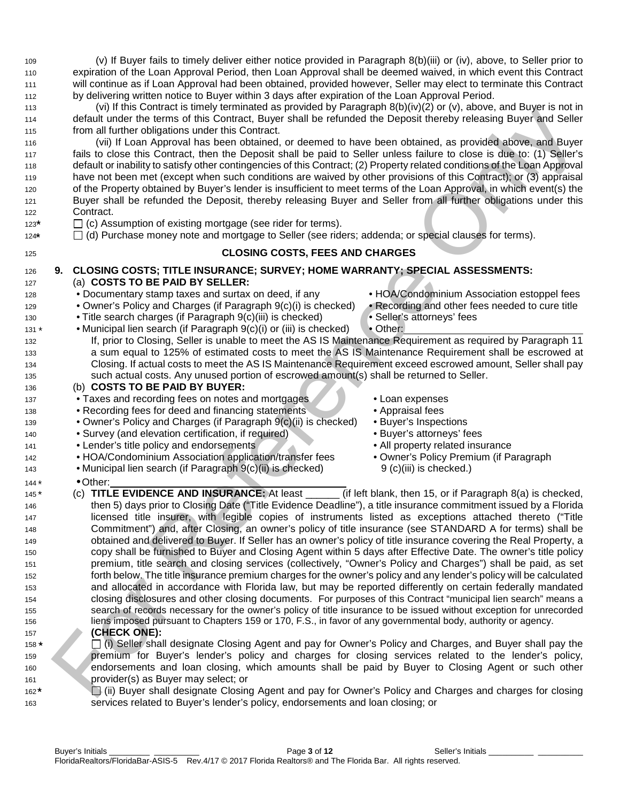| 111        |    | will continue as if Loan Approval had been obtained, provided however, Seller may elect to terminate this Contract                                                                                                   |
|------------|----|----------------------------------------------------------------------------------------------------------------------------------------------------------------------------------------------------------------------|
| 112        |    | by delivering written notice to Buyer within 3 days after expiration of the Loan Approval Period.                                                                                                                    |
| 113        |    | (vi) If this Contract is timely terminated as provided by Paragraph 8(b)(iv)(2) or (v), above, and Buyer is not in                                                                                                   |
| 114        |    | default under the terms of this Contract, Buyer shall be refunded the Deposit thereby releasing Buyer and Seller                                                                                                     |
| 115        |    | from all further obligations under this Contract.                                                                                                                                                                    |
| 116        |    | (vii) If Loan Approval has been obtained, or deemed to have been obtained, as provided above, and Buyer                                                                                                              |
| 117        |    | fails to close this Contract, then the Deposit shall be paid to Seller unless failure to close is due to: (1) Seller's                                                                                               |
| 118        |    | default or inability to satisfy other contingencies of this Contract; (2) Property related conditions of the Loan Approval                                                                                           |
| 119        |    | have not been met (except when such conditions are waived by other provisions of this Contract); or (3) appraisal                                                                                                    |
| 120        |    | of the Property obtained by Buyer's lender is insufficient to meet terms of the Loan Approval, in which event(s) the                                                                                                 |
| 121        |    | Buyer shall be refunded the Deposit, thereby releasing Buyer and Seller from all further obligations under this                                                                                                      |
| 122        |    | Contract.                                                                                                                                                                                                            |
| $123*$     |    | $\Box$ (c) Assumption of existing mortgage (see rider for terms).                                                                                                                                                    |
| 124*       |    | $\Box$ (d) Purchase money note and mortgage to Seller (see riders; addenda; or special clauses for terms).                                                                                                           |
|            |    | <b>CLOSING COSTS, FEES AND CHARGES</b>                                                                                                                                                                               |
| 125        |    |                                                                                                                                                                                                                      |
| 126<br>127 | 9. | CLOSING COSTS; TITLE INSURANCE; SURVEY; HOME WARRANTY; SPECIAL ASSESSMENTS:<br>(a) COSTS TO BE PAID BY SELLER:                                                                                                       |
| 128        |    | • HOA/Condominium Association estoppel fees<br>• Documentary stamp taxes and surtax on deed, if any                                                                                                                  |
|            |    | • Owner's Policy and Charges (if Paragraph 9(c)(i) is checked)<br>• Recording and other fees needed to cure title                                                                                                    |
| 129        |    | • Title search charges (if Paragraph 9(c)(iii) is checked)<br>• Seller's attorneys' fees                                                                                                                             |
| 130        |    | • Other:                                                                                                                                                                                                             |
| $131 *$    |    | • Municipal lien search (if Paragraph 9(c)(i) or (iii) is checked)                                                                                                                                                   |
| 132        |    | If, prior to Closing, Seller is unable to meet the AS IS Maintenance Requirement as required by Paragraph 11                                                                                                         |
| 133        |    | a sum equal to 125% of estimated costs to meet the AS IS Maintenance Requirement shall be escrowed at<br>Closing. If actual costs to meet the AS IS Maintenance Requirement exceed escrowed amount, Seller shall pay |
| 134        |    |                                                                                                                                                                                                                      |
| 135        |    | such actual costs. Any unused portion of escrowed amount(s) shall be returned to Seller.                                                                                                                             |
| 136        |    | (b) COSTS TO BE PAID BY BUYER:                                                                                                                                                                                       |
| 137        |    | • Taxes and recording fees on notes and mortgages<br>• Loan expenses                                                                                                                                                 |
| 138        |    | • Recording fees for deed and financing statements<br>• Appraisal fees                                                                                                                                               |
| 139        |    | • Owner's Policy and Charges (if Paragraph 9(c)(ii) is checked)<br>• Buyer's Inspections                                                                                                                             |
| 140        |    | • Buyer's attorneys' fees<br>• Survey (and elevation certification, if required)                                                                                                                                     |
| 141        |    | • Lender's title policy and endorsements<br>• All property related insurance                                                                                                                                         |
| 142        |    | • HOA/Condominium Association application/transfer fees<br>• Owner's Policy Premium (if Paragraph                                                                                                                    |
| 143        |    | • Municipal lien search (if Paragraph 9(c)(ii) is checked)<br>9 (c)(iii) is checked.)                                                                                                                                |
| $144*$     |    | •Other:                                                                                                                                                                                                              |
| $145*$     |    | (c) TITLE EVIDENCE AND INSURANCE: At least ____<br>(if left blank, then 15, or if Paragraph 8(a) is checked,                                                                                                         |
| 146        |    | then 5) days prior to Closing Date ("Title Evidence Deadline"), a title insurance commitment issued by a Florida                                                                                                     |
| 147        |    | licensed title insurer, with legible copies of instruments listed as exceptions attached thereto ("Title                                                                                                             |
| 148        |    | Commitment") and, after Closing, an owner's policy of title insurance (see STANDARD A for terms) shall be                                                                                                            |
| 149        |    | obtained and delivered to Buyer. If Seller has an owner's policy of title insurance covering the Real Property, a                                                                                                    |
| 150        |    | copy shall be furnished to Buyer and Closing Agent within 5 days after Effective Date. The owner's title policy                                                                                                      |
| 151        |    | premium, title search and closing services (collectively, "Owner's Policy and Charges") shall be paid, as set                                                                                                        |
| 152        |    | forth below. The title insurance premium charges for the owner's policy and any lender's policy will be calculated                                                                                                   |
| 153        |    | and allocated in accordance with Florida law, but may be reported differently on certain federally mandated                                                                                                          |
| 154        |    | closing disclosures and other closing documents. For purposes of this Contract "municipal lien search" means a                                                                                                       |
| 155        |    | search of records necessary for the owner's policy of title insurance to be issued without exception for unrecorded                                                                                                  |
| 156        |    | liens imposed pursuant to Chapters 159 or 170, F.S., in favor of any governmental body, authority or agency.                                                                                                         |
| 157        |    | (CHECK ONE):                                                                                                                                                                                                         |
| $158*$     |    | $\Box$ (i) Seller shall designate Closing Agent and pay for Owner's Policy and Charges, and Buyer shall pay the                                                                                                      |
| 159        |    | premium for Buyer's lender's policy and charges for closing services related to the lender's policy,                                                                                                                 |
| 160        |    | endorsements and loan closing, which amounts shall be paid by Buyer to Closing Agent or such other                                                                                                                   |
| 161        |    | provider(s) as Buyer may select; or                                                                                                                                                                                  |
| $162*$     |    | (ii) Buyer shall designate Closing Agent and pay for Owner's Policy and Charges and charges for closing                                                                                                              |
| 163        |    | services related to Buyer's lender's policy, endorsements and loan closing; or                                                                                                                                       |

 (v) If Buyer fails to timely deliver either notice provided in Paragraph 8(b)(iii) or (iv), above, to Seller prior to expiration of the Loan Approval Period, then Loan Approval shall be deemed waived, in which event this Contract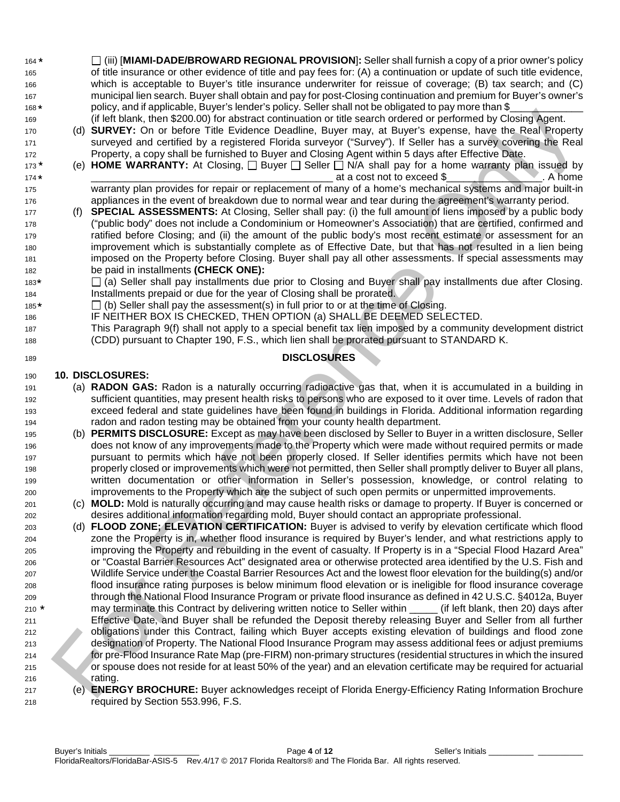- **\*** □ (iii) [MIAMI-DADE/BROWARD REGIONAL PROVISION]: Seller shall furnish a copy of a prior owner's policy of title insurance or other evidence of title and pay fees for: (A) a continuation or update of such title evidence, which is acceptable to Buyer's title insurance underwriter for reissue of coverage; (B) tax search; and (C) municipal lien search. Buyer shall obtain and pay for post-Closing continuation and premium for Buyer's owner's 168 \* policy, and if applicable, Buyer's lender's policy. Seller shall not be obligated to pay more than \$
- (if left blank, then \$200.00) for abstract continuation or title search ordered or performed by Closing Agent. (d) **SURVEY:** On or before Title Evidence Deadline, Buyer may, at Buyer's expense, have the Real Property surveyed and certified by a registered Florida surveyor ("Survey"). If Seller has a survey covering the Real Property, a copy shall be furnished to Buyer and Closing Agent within 5 days after Effective Date.
- 173<sup>\*</sup> (e) **HOME WARRANTY:** At Closing,  $\Box$  Buyer  $\Box$  Seller  $\Box$  N/A shall pay for a home warranty plan issued by  $174 *$  at a cost not to exceed \$ $\blacksquare$ . A home warranty plan provides for repair or replacement of many of a home's mechanical systems and major built-in
- appliances in the event of breakdown due to normal wear and tear during the agreement's warranty period. (f) **SPECIAL ASSESSMENTS:** At Closing, Seller shall pay: (i) the full amount of liens imposed by a public body
- ("public body" does not include a Condominium or Homeowner's Association) that are certified, confirmed and ratified before Closing; and (ii) the amount of the public body's most recent estimate or assessment for an improvement which is substantially complete as of Effective Date, but that has not resulted in a lien being imposed on the Property before Closing. Buyer shall pay all other assessments. If special assessments may be paid in installments **(CHECK ONE):**
- $183*$   $\Box$  (a) Seller shall pay installments due prior to Closing and Buyer shall pay installments due after Closing. Installments prepaid or due for the year of Closing shall be prorated.
- $185*$  (b) Seller shall pay the assessment(s) in full prior to or at the time of Closing.
- 186 IF NEITHER BOX IS CHECKED, THEN OPTION (a) SHALL BE DEEMED SELECTED.
- This Paragraph 9(f) shall not apply to a special benefit tax lien imposed by a community development district (CDD) pursuant to Chapter 190, F.S., which lien shall be prorated pursuant to STANDARD K.

# **DISCLOSURES**

# **10. DISCLOSURES:**

- (a) **RADON GAS:** Radon is a naturally occurring radioactive gas that, when it is accumulated in a building in sufficient quantities, may present health risks to persons who are exposed to it over time. Levels of radon that exceed federal and state guidelines have been found in buildings in Florida. Additional information regarding radon and radon testing may be obtained from your county health department.
- (b) **PERMITS DISCLOSURE:** Except as may have been disclosed by Seller to Buyer in a written disclosure, Seller does not know of any improvements made to the Property which were made without required permits or made pursuant to permits which have not been properly closed. If Seller identifies permits which have not been properly closed or improvements which were not permitted, then Seller shall promptly deliver to Buyer all plans, written documentation or other information in Seller's possession, knowledge, or control relating to improvements to the Property which are the subject of such open permits or unpermitted improvements.
- (c) **MOLD:** Mold is naturally occurring and may cause health risks or damage to property. If Buyer is concerned or desires additional information regarding mold, Buyer should contact an appropriate professional.
- For the theorem and the total manner of the theorem and the same methods of performed the constrained the performance of the the three constrained in the three constrained in the three constrained in the constrained in the (d) **FLOOD ZONE; ELEVATION CERTIFICATION:** Buyer is advised to verify by elevation certificate which flood zone the Property is in, whether flood insurance is required by Buyer's lender, and what restrictions apply to improving the Property and rebuilding in the event of casualty. If Property is in a "Special Flood Hazard Area" or "Coastal Barrier Resources Act" designated area or otherwise protected area identified by the U.S. Fish and Wildlife Service under the Coastal Barrier Resources Act and the lowest floor elevation for the building(s) and/or flood insurance rating purposes is below minimum flood elevation or is ineligible for flood insurance coverage through the National Flood Insurance Program or private flood insurance as defined in 42 U.S.C. §4012a, Buyer may terminate this Contract by delivering written notice to Seller within \_\_\_\_\_ (if left blank, then 20) days after Effective Date, and Buyer shall be refunded the Deposit thereby releasing Buyer and Seller from all further obligations under this Contract, failing which Buyer accepts existing elevation of buildings and flood zone designation of Property. The National Flood Insurance Program may assess additional fees or adjust premiums for pre-Flood Insurance Rate Map (pre-FIRM) non-primary structures (residential structures in which the insured or spouse does not reside for at least 50% of the year) and an elevation certificate may be required for actuarial rating.
- (e) **ENERGY BROCHURE:** Buyer acknowledges receipt of Florida Energy-Efficiency Rating Information Brochure required by Section 553.996, F.S.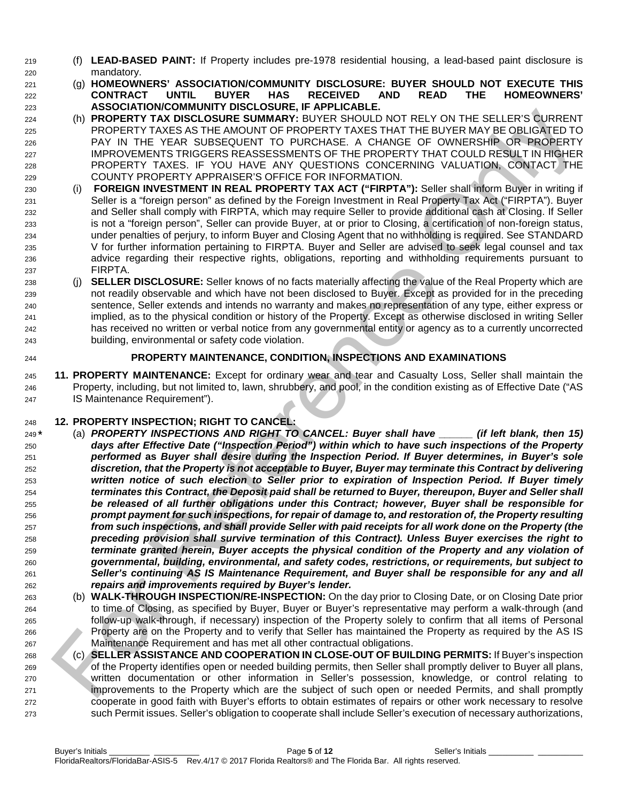- (f) **LEAD-BASED PAINT:** If Property includes pre-1978 residential housing, a lead-based paint disclosure is mandatory.
- (g) **HOMEOWNERS' ASSOCIATION/COMMUNITY DISCLOSURE: BUYER SHOULD NOT EXECUTE THIS CONTRACT UNTIL BUYER HAS RECEIVED AND READ THE HOMEOWNERS' ASSOCIATION/COMMUNITY DISCLOSURE, IF APPLICABLE.**
- (h) **PROPERTY TAX DISCLOSURE SUMMARY:** BUYER SHOULD NOT RELY ON THE SELLER'S CURRENT PROPERTY TAXES AS THE AMOUNT OF PROPERTY TAXES THAT THE BUYER MAY BE OBLIGATED TO PAY IN THE YEAR SUBSEQUENT TO PURCHASE. A CHANGE OF OWNERSHIP OR PROPERTY IMPROVEMENTS TRIGGERS REASSESSMENTS OF THE PROPERTY THAT COULD RESULT IN HIGHER PROPERTY TAXES. IF YOU HAVE ANY QUESTIONS CONCERNING VALUATION, CONTACT THE COUNTY PROPERTY APPRAISER'S OFFICE FOR INFORMATION.
- (i) **FOREIGN INVESTMENT IN REAL PROPERTY TAX ACT ("FIRPTA"):** Seller shall inform Buyer in writing if Seller is a "foreign person" as defined by the Foreign Investment in Real Property Tax Act ("FIRPTA"). Buyer and Seller shall comply with FIRPTA, which may require Seller to provide additional cash at Closing. If Seller is not a "foreign person", Seller can provide Buyer, at or prior to Closing, a certification of non-foreign status, under penalties of perjury, to inform Buyer and Closing Agent that no withholding is required. See STANDARD V for further information pertaining to FIRPTA. Buyer and Seller are advised to seek legal counsel and tax advice regarding their respective rights, obligations, reporting and withholding requirements pursuant to FIRPTA.
- (j) **SELLER DISCLOSURE:** Seller knows of no facts materially affecting the value of the Real Property which are not readily observable and which have not been disclosed to Buyer. Except as provided for in the preceding sentence, Seller extends and intends no warranty and makes no representation of any type, either express or implied, as to the physical condition or history of the Property. Except as otherwise disclosed in writing Seller has received no written or verbal notice from any governmental entity or agency as to a currently uncorrected building, environmental or safety code violation.

# **PROPERTY MAINTENANCE, CONDITION, INSPECTIONS AND EXAMINATIONS**

 **11. PROPERTY MAINTENANCE:** Except for ordinary wear and tear and Casualty Loss, Seller shall maintain the Property, including, but not limited to, lawn, shrubbery, and pool, in the condition existing as of Effective Date ("AS IS Maintenance Requirement").

# **12. PROPERTY INSPECTION; RIGHT TO CANCEL:**

- (h) PROCEIVITY MAKED ABSCRIBER Sale Monting in ENCH TO CANCEL TO TREV ON THE SILUER SIGNER MENSION CONSULTS IN THE SILUER SALE ANOTHER SURFACT THE SALE ILLER ORDER IN THE VERT WAS STRAKT TO PROPERTY TAXES THAT THE SURFACT (a) **PROPERTY INSPECTIONS AND RIGHT TO CANCEL: Buyer shall have \_\_\_\_\_\_ (if left blank, then 15) days after Effective Date ("Inspection Period") within which to have such inspections of the Property performed as Buyer shall desire during the Inspection Period. If Buyer determines, in Buyer's sole discretion, that the Property is not acceptable to Buyer, Buyer may terminate this Contract by delivering written notice of such election to Seller prior to expiration of Inspection Period. If Buyer timely terminates this Contract, the Deposit paid shall be returned to Buyer, thereupon, Buyer and Seller shall be released of all further obligations under this Contract; however, Buyer shall be responsible for prompt payment for such inspections, for repair of damage to, and restoration of, the Property resulting from such inspections, and shall provide Seller with paid receipts for all work done on the Property (the preceding provision shall survive termination of this Contract). Unless Buyer exercises the right to terminate granted herein, Buyer accepts the physical condition of the Property and any violation of governmental, building, environmental, and safety codes, restrictions, or requirements, but subject to Seller's continuing AS IS Maintenance Requirement, and Buyer shall be responsible for any and all repairs and improvements required by Buyer's lender.**
- (b) **WALK-THROUGH INSPECTION/RE-INSPECTION:** On the day prior to Closing Date, or on Closing Date prior to time of Closing, as specified by Buyer, Buyer or Buyer's representative may perform a walk-through (and follow-up walk-through, if necessary) inspection of the Property solely to confirm that all items of Personal Property are on the Property and to verify that Seller has maintained the Property as required by the AS IS Maintenance Requirement and has met all other contractual obligations.
- (c) **SELLER ASSISTANCE AND COOPERATION IN CLOSE-OUT OF BUILDING PERMITS:** If Buyer's inspection of the Property identifies open or needed building permits, then Seller shall promptly deliver to Buyer all plans, written documentation or other information in Seller's possession, knowledge, or control relating to improvements to the Property which are the subject of such open or needed Permits, and shall promptly cooperate in good faith with Buyer's efforts to obtain estimates of repairs or other work necessary to resolve such Permit issues. Seller's obligation to cooperate shall include Seller's execution of necessary authorizations,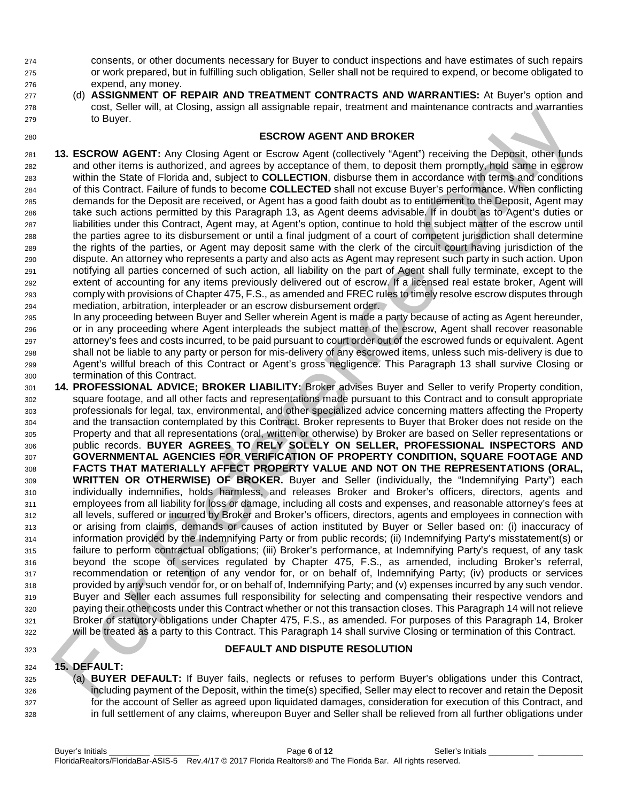- consents, or other documents necessary for Buyer to conduct inspections and have estimates of such repairs or work prepared, but in fulfilling such obligation, Seller shall not be required to expend, or become obligated to expend, any money.
- (d) **ASSIGNMENT OF REPAIR AND TREATMENT CONTRACTS AND WARRANTIES:** At Buyer's option and cost, Seller will, at Closing, assign all assignable repair, treatment and maintenance contracts and warranties to Buyer.
- 

#### **ESCROW AGENT AND BROKER**

- **13. ESCROW AGENT:** Any Closing Agent or Escrow Agent (collectively "Agent") receiving the Deposit, other funds and other items is authorized, and agrees by acceptance of them, to deposit them promptly, hold same in escrow within the State of Florida and, subject to **COLLECTION**, disburse them in accordance with terms and conditions of this Contract. Failure of funds to become **COLLECTED** shall not excuse Buyer's performance. When conflicting demands for the Deposit are received, or Agent has a good faith doubt as to entitlement to the Deposit, Agent may take such actions permitted by this Paragraph 13, as Agent deems advisable. If in doubt as to Agent's duties or liabilities under this Contract, Agent may, at Agent's option, continue to hold the subject matter of the escrow until the parties agree to its disbursement or until a final judgment of a court of competent jurisdiction shall determine the rights of the parties, or Agent may deposit same with the clerk of the circuit court having jurisdiction of the dispute. An attorney who represents a party and also acts as Agent may represent such party in such action. Upon notifying all parties concerned of such action, all liability on the part of Agent shall fully terminate, except to the extent of accounting for any items previously delivered out of escrow. If a licensed real estate broker, Agent will comply with provisions of Chapter 475, F.S., as amended and FREC rules to timely resolve escrow disputes through mediation, arbitration, interpleader or an escrow disbursement order.
- In any proceeding between Buyer and Seller wherein Agent is made a party because of acting as Agent hereunder, or in any proceeding where Agent interpleads the subject matter of the escrow, Agent shall recover reasonable attorney's fees and costs incurred, to be paid pursuant to court order out of the escrowed funds or equivalent. Agent shall not be liable to any party or person for mis-delivery of any escrowed items, unless such mis-delivery is due to Agent's willful breach of this Contract or Agent's gross negligence. This Paragraph 13 shall survive Closing or termination of this Contract.
- ion over the account of the Control of the Control of the Control of the Control of the Control of the Control of the Control of the Control of the Control of the Control of the Control of the Control of the Control of th **14. PROFESSIONAL ADVICE; BROKER LIABILITY:** Broker advises Buyer and Seller to verify Property condition, square footage, and all other facts and representations made pursuant to this Contract and to consult appropriate professionals for legal, tax, environmental, and other specialized advice concerning matters affecting the Property and the transaction contemplated by this Contract. Broker represents to Buyer that Broker does not reside on the Property and that all representations (oral, written or otherwise) by Broker are based on Seller representations or public records. **BUYER AGREES TO RELY SOLELY ON SELLER, PROFESSIONAL INSPECTORS AND GOVERNMENTAL AGENCIES FOR VERIFICATION OF PROPERTY CONDITION, SQUARE FOOTAGE AND FACTS THAT MATERIALLY AFFECT PROPERTY VALUE AND NOT ON THE REPRESENTATIONS (ORAL, WRITTEN OR OTHERWISE) OF BROKER.** Buyer and Seller (individually, the "Indemnifying Party") each individually indemnifies, holds harmless, and releases Broker and Broker's officers, directors, agents and employees from all liability for loss or damage, including all costs and expenses, and reasonable attorney's fees at all levels, suffered or incurred by Broker and Broker's officers, directors, agents and employees in connection with or arising from claims, demands or causes of action instituted by Buyer or Seller based on: (i) inaccuracy of information provided by the Indemnifying Party or from public records; (ii) Indemnifying Party's misstatement(s) or failure to perform contractual obligations; (iii) Broker's performance, at Indemnifying Party's request, of any task beyond the scope of services regulated by Chapter 475, F.S., as amended, including Broker's referral, recommendation or retention of any vendor for, or on behalf of, Indemnifying Party; (iv) products or services provided by any such vendor for, or on behalf of, Indemnifying Party; and (v) expenses incurred by any such vendor. Buyer and Seller each assumes full responsibility for selecting and compensating their respective vendors and paying their other costs under this Contract whether or not this transaction closes. This Paragraph 14 will not relieve Broker of statutory obligations under Chapter 475, F.S., as amended. For purposes of this Paragraph 14, Broker will be treated as a party to this Contract. This Paragraph 14 shall survive Closing or termination of this Contract.

# **DEFAULT AND DISPUTE RESOLUTION**

# **15. DEFAULT:**

 (a) **BUYER DEFAULT:** If Buyer fails, neglects or refuses to perform Buyer's obligations under this Contract, including payment of the Deposit, within the time(s) specified, Seller may elect to recover and retain the Deposit for the account of Seller as agreed upon liquidated damages, consideration for execution of this Contract, and in full settlement of any claims, whereupon Buyer and Seller shall be relieved from all further obligations under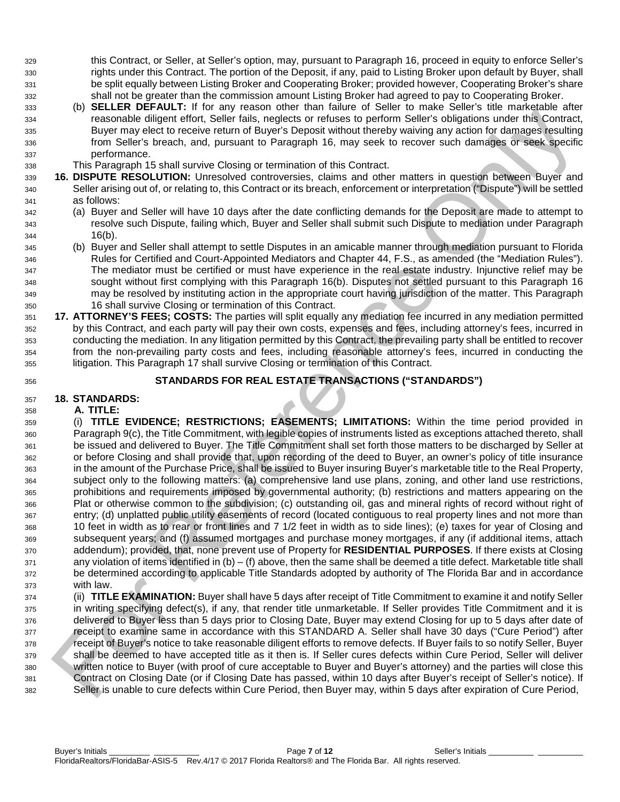this Contract, or Seller, at Seller's option, may, pursuant to Paragraph 16, proceed in equity to enforce Seller's rights under this Contract. The portion of the Deposit, if any, paid to Listing Broker upon default by Buyer, shall be split equally between Listing Broker and Cooperating Broker; provided however, Cooperating Broker's share shall not be greater than the commission amount Listing Broker had agreed to pay to Cooperating Broker.

- (b) **SELLER DEFAULT:** If for any reason other than failure of Seller to make Seller's title marketable after reasonable diligent effort, Seller fails, neglects or refuses to perform Seller's obligations under this Contract, Buyer may elect to receive return of Buyer's Deposit without thereby waiving any action for damages resulting from Seller's breach, and, pursuant to Paragraph 16, may seek to recover such damages or seek specific performance.
- This Paragraph 15 shall survive Closing or termination of this Contract.
- **16. DISPUTE RESOLUTION:** Unresolved controversies, claims and other matters in question between Buyer and Seller arising out of, or relating to, this Contract or its breach, enforcement or interpretation ("Dispute") will be settled as follows:
- (a) Buyer and Seller will have 10 days after the date conflicting demands for the Deposit are made to attempt to resolve such Dispute, failing which, Buyer and Seller shall submit such Dispute to mediation under Paragraph 16(b).
- (b) Buyer and Seller shall attempt to settle Disputes in an amicable manner through mediation pursuant to Florida Rules for Certified and Court-Appointed Mediators and Chapter 44, F.S., as amended (the "Mediation Rules"). The mediator must be certified or must have experience in the real estate industry. Injunctive relief may be sought without first complying with this Paragraph 16(b). Disputes not settled pursuant to this Paragraph 16 may be resolved by instituting action in the appropriate court having jurisdiction of the matter. This Paragraph 16 shall survive Closing or termination of this Contract.
- **17. ATTORNEY'S FEES; COSTS:** The parties will split equally any mediation fee incurred in any mediation permitted by this Contract, and each party will pay their own costs, expenses and fees, including attorney's fees, incurred in conducting the mediation. In any litigation permitted by this Contract, the prevailing party shall be entitled to recover from the non-prevailing party costs and fees, including reasonable attorney's fees, incurred in conducting the litigation. This Paragraph 17 shall survive Closing or termination of this Contract.

# **STANDARDS FOR REAL ESTATE TRANSACTIONS ("STANDARDS")**

# **18. STANDARDS:**

# **A. TITLE:**

For a consider the the state in the state of the state of the state of the state of the state of the state of the state of the state of the state of the state of the state of the state of the state of the state of the stat (i) **TITLE EVIDENCE; RESTRICTIONS; EASEMENTS; LIMITATIONS:** Within the time period provided in Paragraph 9(c), the Title Commitment, with legible copies of instruments listed as exceptions attached thereto, shall be issued and delivered to Buyer. The Title Commitment shall set forth those matters to be discharged by Seller at or before Closing and shall provide that, upon recording of the deed to Buyer, an owner's policy of title insurance in the amount of the Purchase Price, shall be issued to Buyer insuring Buyer's marketable title to the Real Property, subject only to the following matters: (a) comprehensive land use plans, zoning, and other land use restrictions, prohibitions and requirements imposed by governmental authority; (b) restrictions and matters appearing on the Plat or otherwise common to the subdivision; (c) outstanding oil, gas and mineral rights of record without right of entry; (d) unplatted public utility easements of record (located contiguous to real property lines and not more than 10 feet in width as to rear or front lines and 7 1/2 feet in width as to side lines); (e) taxes for year of Closing and subsequent years; and (f) assumed mortgages and purchase money mortgages, if any (if additional items, attach addendum); provided, that, none prevent use of Property for **RESIDENTIAL PURPOSES**. If there exists at Closing any violation of items identified in (b) – (f) above, then the same shall be deemed a title defect. Marketable title shall be determined according to applicable Title Standards adopted by authority of The Florida Bar and in accordance with law.

 (ii) **TITLE EXAMINATION:** Buyer shall have 5 days after receipt of Title Commitment to examine it and notify Seller in writing specifying defect(s), if any, that render title unmarketable. If Seller provides Title Commitment and it is delivered to Buyer less than 5 days prior to Closing Date, Buyer may extend Closing for up to 5 days after date of receipt to examine same in accordance with this STANDARD A. Seller shall have 30 days ("Cure Period") after receipt of Buyer's notice to take reasonable diligent efforts to remove defects. If Buyer fails to so notify Seller, Buyer shall be deemed to have accepted title as it then is. If Seller cures defects within Cure Period, Seller will deliver written notice to Buyer (with proof of cure acceptable to Buyer and Buyer's attorney) and the parties will close this Contract on Closing Date (or if Closing Date has passed, within 10 days after Buyer's receipt of Seller's notice). If Seller is unable to cure defects within Cure Period, then Buyer may, within 5 days after expiration of Cure Period,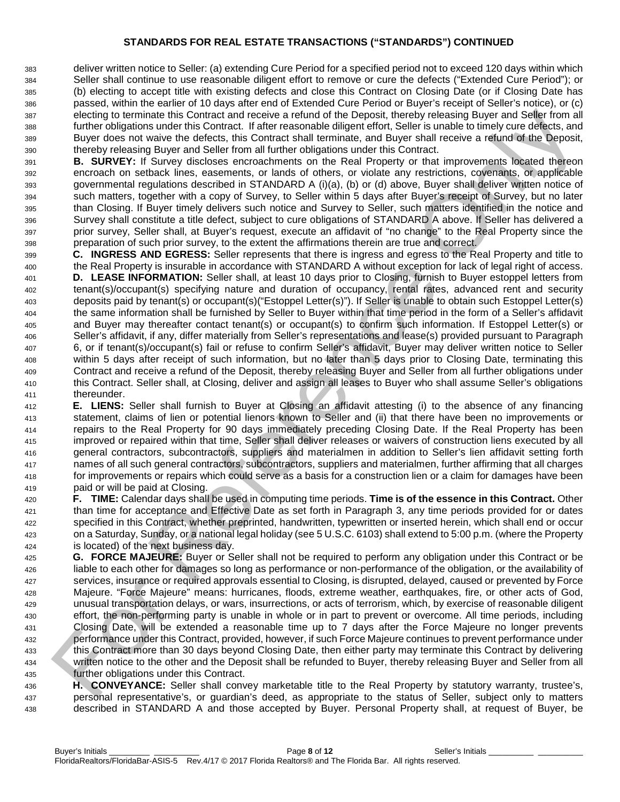deliver written notice to Seller: (a) extending Cure Period for a specified period not to exceed 120 days within which Seller shall continue to use reasonable diligent effort to remove or cure the defects ("Extended Cure Period"); or (b) electing to accept title with existing defects and close this Contract on Closing Date (or if Closing Date has passed, within the earlier of 10 days after end of Extended Cure Period or Buyer's receipt of Seller's notice), or (c) electing to terminate this Contract and receive a refund of the Deposit, thereby releasing Buyer and Seller from all further obligations under this Contract. If after reasonable diligent effort, Seller is unable to timely cure defects, and Buyer does not waive the defects, this Contract shall terminate, and Buyer shall receive a refund of the Deposit, thereby releasing Buyer and Seller from all further obligations under this Contract.

 **B. SURVEY:** If Survey discloses encroachments on the Real Property or that improvements located thereon encroach on setback lines, easements, or lands of others, or violate any restrictions, covenants, or applicable governmental regulations described in STANDARD A (i)(a), (b) or (d) above, Buyer shall deliver written notice of such matters, together with a copy of Survey, to Seller within 5 days after Buyer's receipt of Survey, but no later than Closing. If Buyer timely delivers such notice and Survey to Seller, such matters identified in the notice and Survey shall constitute a title defect, subject to cure obligations of STANDARD A above. If Seller has delivered a prior survey, Seller shall, at Buyer's request, execute an affidavit of "no change" to the Real Property since the preparation of such prior survey, to the extent the affirmations therein are true and correct.

identics this control is a control in the background of the Dapois, thereby closing is grown and Selen trom all the particular in the background of the main of the main of the Dapois (10 to the Case in the Case in the Case **C. INGRESS AND EGRESS:** Seller represents that there is ingress and egress to the Real Property and title to the Real Property is insurable in accordance with STANDARD A without exception for lack of legal right of access. **D. LEASE INFORMATION:** Seller shall, at least 10 days prior to Closing, furnish to Buyer estoppel letters from tenant(s)/occupant(s) specifying nature and duration of occupancy, rental rates, advanced rent and security deposits paid by tenant(s) or occupant(s)("Estoppel Letter(s)"). If Seller is unable to obtain such Estoppel Letter(s) the same information shall be furnished by Seller to Buyer within that time period in the form of a Seller's affidavit and Buyer may thereafter contact tenant(s) or occupant(s) to confirm such information. If Estoppel Letter(s) or Seller's affidavit, if any, differ materially from Seller's representations and lease(s) provided pursuant to Paragraph 6, or if tenant(s)/occupant(s) fail or refuse to confirm Seller's affidavit, Buyer may deliver written notice to Seller within 5 days after receipt of such information, but no later than 5 days prior to Closing Date, terminating this Contract and receive a refund of the Deposit, thereby releasing Buyer and Seller from all further obligations under this Contract. Seller shall, at Closing, deliver and assign all leases to Buyer who shall assume Seller's obligations thereunder.

 **E. LIENS:** Seller shall furnish to Buyer at Closing an affidavit attesting (i) to the absence of any financing statement, claims of lien or potential lienors known to Seller and (ii) that there have been no improvements or repairs to the Real Property for 90 days immediately preceding Closing Date. If the Real Property has been improved or repaired within that time, Seller shall deliver releases or waivers of construction liens executed by all general contractors, subcontractors, suppliers and materialmen in addition to Seller's lien affidavit setting forth names of all such general contractors, subcontractors, suppliers and materialmen, further affirming that all charges for improvements or repairs which could serve as a basis for a construction lien or a claim for damages have been paid or will be paid at Closing.

 **F. TIME:** Calendar days shall be used in computing time periods. **Time is of the essence in this Contract.** Other than time for acceptance and Effective Date as set forth in Paragraph 3, any time periods provided for or dates specified in this Contract, whether preprinted, handwritten, typewritten or inserted herein, which shall end or occur on a Saturday, Sunday, or a national legal holiday (see 5 U.S.C. 6103) shall extend to 5:00 p.m. (where the Property is located) of the next business day.

 **G. FORCE MAJEURE:** Buyer or Seller shall not be required to perform any obligation under this Contract or be liable to each other for damages so long as performance or non-performance of the obligation, or the availability of services, insurance or required approvals essential to Closing, is disrupted, delayed, caused or prevented by Force Majeure. "Force Majeure" means: hurricanes, floods, extreme weather, earthquakes, fire, or other acts of God, unusual transportation delays, or wars, insurrections, or acts of terrorism, which, by exercise of reasonable diligent effort, the non-performing party is unable in whole or in part to prevent or overcome. All time periods, including Closing Date, will be extended a reasonable time up to 7 days after the Force Majeure no longer prevents performance under this Contract, provided, however, if such Force Majeure continues to prevent performance under this Contract more than 30 days beyond Closing Date, then either party may terminate this Contract by delivering 434 written notice to the other and the Deposit shall be refunded to Buyer, thereby releasing Buyer and Seller from all further obligations under this Contract.

 **H. CONVEYANCE:** Seller shall convey marketable title to the Real Property by statutory warranty, trustee's, personal representative's, or guardian's deed, as appropriate to the status of Seller, subject only to matters described in STANDARD A and those accepted by Buyer. Personal Property shall, at request of Buyer, be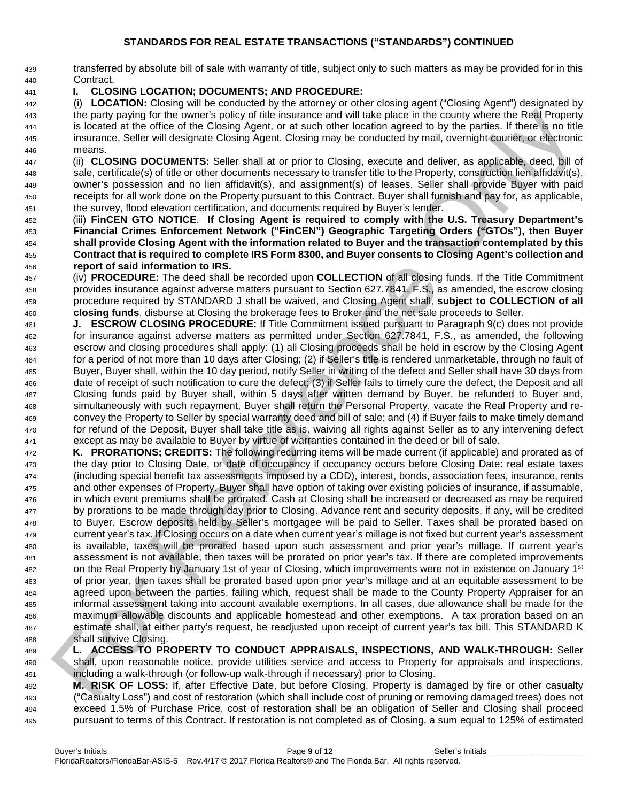transferred by absolute bill of sale with warranty of title, subject only to such matters as may be provided for in this Contract.

# **I. CLOSING LOCATION; DOCUMENTS; AND PROCEDURE:**

 (i) **LOCATION:** Closing will be conducted by the attorney or other closing agent ("Closing Agent") designated by the party paying for the owner's policy of title insurance and will take place in the county where the Real Property is located at the office of the Closing Agent, or at such other location agreed to by the parties. If there is no title insurance, Seller will designate Closing Agent. Closing may be conducted by mail, overnight courier, or electronic means.

 (ii) **CLOSING DOCUMENTS:** Seller shall at or prior to Closing, execute and deliver, as applicable, deed, bill of sale, certificate(s) of title or other documents necessary to transfer title to the Property, construction lien affidavit(s), owner's possession and no lien affidavit(s), and assignment(s) of leases. Seller shall provide Buyer with paid receipts for all work done on the Property pursuant to this Contract. Buyer shall furnish and pay for, as applicable, the survey, flood elevation certification, and documents required by Buyer's lender.

- (iii) **FinCEN GTO NOTICE**. **If Closing Agent is required to comply with the U.S. Treasury Department's Financial Crimes Enforcement Network ("FinCEN") Geographic Targeting Orders ("GTOs"), then Buyer shall provide Closing Agent with the information related to Buyer and the transaction contemplated by this Contract that is required to complete IRS Form 8300, and Buyer consents to Closing Agent's collection and report of said information to IRS.**
- (iv) **PROCEDURE:** The deed shall be recorded upon **COLLECTION** of all closing funds. If the Title Commitment provides insurance against adverse matters pursuant to Section 627.7841, F.S., as amended, the escrow closing procedure required by STANDARD J shall be waived, and Closing Agent shall, **subject to COLLECTION of all closing funds**, disburse at Closing the brokerage fees to Broker and the net sale proceeds to Seller.
- **J. ESCROW CLOSING PROCEDURE:** If Title Commitment issued pursuant to Paragraph 9(c) does not provide for insurance against adverse matters as permitted under Section 627.7841, F.S., as amended, the following escrow and closing procedures shall apply: (1) all Closing proceeds shall be held in escrow by the Closing Agent for a period of not more than 10 days after Closing; (2) if Seller's title is rendered unmarketable, through no fault of Buyer, Buyer shall, within the 10 day period, notify Seller in writing of the defect and Seller shall have 30 days from date of receipt of such notification to cure the defect; (3) if Seller fails to timely cure the defect, the Deposit and all Closing funds paid by Buyer shall, within 5 days after written demand by Buyer, be refunded to Buyer and, simultaneously with such repayment, Buyer shall return the Personal Property, vacate the Real Property and re- convey the Property to Seller by special warranty deed and bill of sale; and (4) if Buyer fails to make timely demand for refund of the Deposit, Buyer shall take title as is, waiving all rights against Seller as to any intervening defect except as may be available to Buyer by virtue of warranties contained in the deed or bill of sale.
- the party parameters and provide Costal (and the matter and the section in the costal (and in the section of the section of the section of the section of the section of the section in the section in the section in the sect **K. PRORATIONS; CREDITS:** The following recurring items will be made current (if applicable) and prorated as of the day prior to Closing Date, or date of occupancy if occupancy occurs before Closing Date: real estate taxes (including special benefit tax assessments imposed by a CDD), interest, bonds, association fees, insurance, rents and other expenses of Property. Buyer shall have option of taking over existing policies of insurance, if assumable, in which event premiums shall be prorated. Cash at Closing shall be increased or decreased as may be required by prorations to be made through day prior to Closing. Advance rent and security deposits, if any, will be credited to Buyer. Escrow deposits held by Seller's mortgagee will be paid to Seller. Taxes shall be prorated based on current year's tax. If Closing occurs on a date when current year's millage is not fixed but current year's assessment is available, taxes will be prorated based upon such assessment and prior year's millage. If current year's assessment is not available, then taxes will be prorated on prior year's tax. If there are completed improvements 482 on the Real Property by January 1st of year of Closing, which improvements were not in existence on January 1st of prior year, then taxes shall be prorated based upon prior year's millage and at an equitable assessment to be agreed upon between the parties, failing which, request shall be made to the County Property Appraiser for an informal assessment taking into account available exemptions. In all cases, due allowance shall be made for the maximum allowable discounts and applicable homestead and other exemptions. A tax proration based on an estimate shall, at either party's request, be readjusted upon receipt of current year's tax bill. This STANDARD K shall survive Closing.

 **L. ACCESS TO PROPERTY TO CONDUCT APPRAISALS, INSPECTIONS, AND WALK-THROUGH:** Seller shall, upon reasonable notice, provide utilities service and access to Property for appraisals and inspections, including a walk-through (or follow-up walk-through if necessary) prior to Closing.

 **M. RISK OF LOSS:** If, after Effective Date, but before Closing, Property is damaged by fire or other casualty ("Casualty Loss") and cost of restoration (which shall include cost of pruning or removing damaged trees) does not exceed 1.5% of Purchase Price, cost of restoration shall be an obligation of Seller and Closing shall proceed pursuant to terms of this Contract. If restoration is not completed as of Closing, a sum equal to 125% of estimated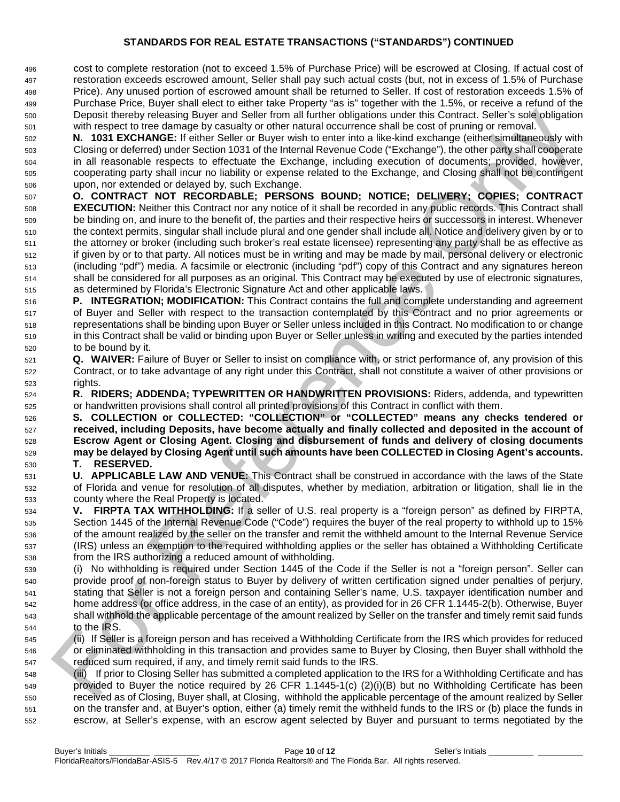cost to complete restoration (not to exceed 1.5% of Purchase Price) will be escrowed at Closing. If actual cost of restoration exceeds escrowed amount, Seller shall pay such actual costs (but, not in excess of 1.5% of Purchase Price). Any unused portion of escrowed amount shall be returned to Seller. If cost of restoration exceeds 1.5% of Purchase Price, Buyer shall elect to either take Property "as is" together with the 1.5%, or receive a refund of the Deposit thereby releasing Buyer and Seller from all further obligations under this Contract. Seller's sole obligation with respect to tree damage by casualty or other natural occurrence shall be cost of pruning or removal.

 **N. 1031 EXCHANGE:** If either Seller or Buyer wish to enter into a like-kind exchange (either simultaneously with Closing or deferred) under Section 1031 of the Internal Revenue Code ("Exchange"), the other party shall cooperate in all reasonable respects to effectuate the Exchange, including execution of documents; provided, however, cooperating party shall incur no liability or expense related to the Exchange, and Closing shall not be contingent upon, nor extended or delayed by, such Exchange.

Notice the behavior since the behavior since the content of the Content of the Content of the Content of the Content of the Content of the Content of the Content of the Content of the Content of the Content of the Content **O. CONTRACT NOT RECORDABLE; PERSONS BOUND; NOTICE; DELIVERY; COPIES; CONTRACT EXECUTION:** Neither this Contract nor any notice of it shall be recorded in any public records. This Contract shall be binding on, and inure to the benefit of, the parties and their respective heirs or successors in interest. Whenever the context permits, singular shall include plural and one gender shall include all. Notice and delivery given by or to the attorney or broker (including such broker's real estate licensee) representing any party shall be as effective as if given by or to that party. All notices must be in writing and may be made by mail, personal delivery or electronic (including "pdf") media. A facsimile or electronic (including "pdf") copy of this Contract and any signatures hereon shall be considered for all purposes as an original. This Contract may be executed by use of electronic signatures, as determined by Florida's Electronic Signature Act and other applicable laws.

 **P. INTEGRATION; MODIFICATION:** This Contract contains the full and complete understanding and agreement of Buyer and Seller with respect to the transaction contemplated by this Contract and no prior agreements or representations shall be binding upon Buyer or Seller unless included in this Contract. No modification to or change in this Contract shall be valid or binding upon Buyer or Seller unless in writing and executed by the parties intended to be bound by it.

 **Q. WAIVER:** Failure of Buyer or Seller to insist on compliance with, or strict performance of, any provision of this Contract, or to take advantage of any right under this Contract, shall not constitute a waiver of other provisions or rights.

 **R. RIDERS; ADDENDA; TYPEWRITTEN OR HANDWRITTEN PROVISIONS:** Riders, addenda, and typewritten or handwritten provisions shall control all printed provisions of this Contract in conflict with them.

 **S. COLLECTION or COLLECTED: "COLLECTION" or "COLLECTED" means any checks tendered or received, including Deposits, have become actually and finally collected and deposited in the account of Escrow Agent or Closing Agent. Closing and disbursement of funds and delivery of closing documents may be delayed by Closing Agent until such amounts have been COLLECTED in Closing Agent's accounts. T. RESERVED.**

 **U. APPLICABLE LAW AND VENUE:** This Contract shall be construed in accordance with the laws of the State of Florida and venue for resolution of all disputes, whether by mediation, arbitration or litigation, shall lie in the county where the Real Property is located.

 **V. FIRPTA TAX WITHHOLDING:** If a seller of U.S. real property is a "foreign person" as defined by FIRPTA, Section 1445 of the Internal Revenue Code ("Code") requires the buyer of the real property to withhold up to 15% of the amount realized by the seller on the transfer and remit the withheld amount to the Internal Revenue Service (IRS) unless an exemption to the required withholding applies or the seller has obtained a Withholding Certificate from the IRS authorizing a reduced amount of withholding.

 (i) No withholding is required under Section 1445 of the Code if the Seller is not a "foreign person". Seller can provide proof of non-foreign status to Buyer by delivery of written certification signed under penalties of perjury, stating that Seller is not a foreign person and containing Seller's name, U.S. taxpayer identification number and home address (or office address, in the case of an entity), as provided for in 26 CFR 1.1445-2(b). Otherwise, Buyer shall withhold the applicable percentage of the amount realized by Seller on the transfer and timely remit said funds to the IRS.

 (ii) If Seller is a foreign person and has received a Withholding Certificate from the IRS which provides for reduced or eliminated withholding in this transaction and provides same to Buyer by Closing, then Buyer shall withhold the reduced sum required, if any, and timely remit said funds to the IRS.

 (iii) If prior to Closing Seller has submitted a completed application to the IRS for a Withholding Certificate and has provided to Buyer the notice required by 26 CFR 1.1445-1(c) (2)(i)(B) but no Withholding Certificate has been received as of Closing, Buyer shall, at Closing, withhold the applicable percentage of the amount realized by Seller on the transfer and, at Buyer's option, either (a) timely remit the withheld funds to the IRS or (b) place the funds in escrow, at Seller's expense, with an escrow agent selected by Buyer and pursuant to terms negotiated by the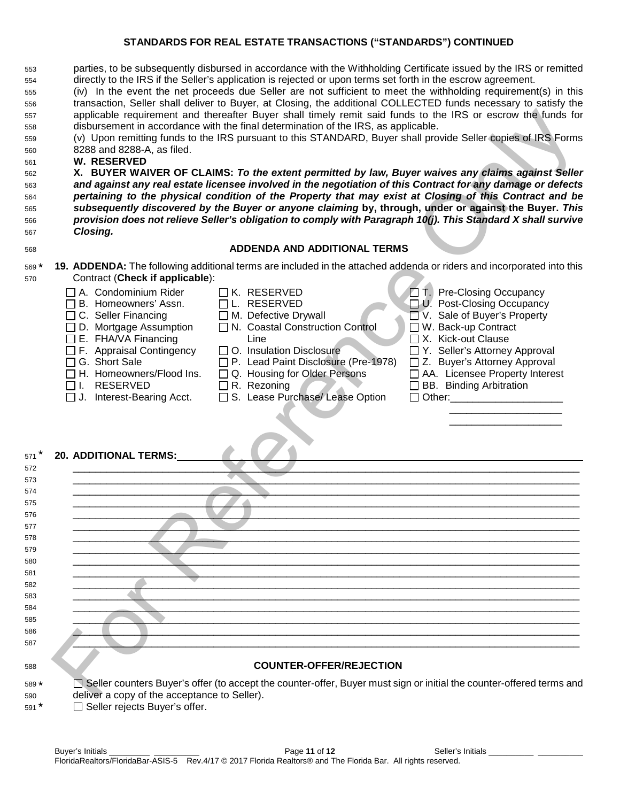| 553 | parties, to be subsequently disbursed in accordance with the Withholding Certificate issued by the IRS or remitted |
|-----|--------------------------------------------------------------------------------------------------------------------|
| 554 | directly to the IRS if the Seller's application is rejected or upon terms set forth in the escrow agreement.       |

- <sup>555</sup> (iv) In the event the net proceeds due Seller are not sufficient to meet the withholding requirement(s) in this <sup>556</sup> transaction, Seller shall deliver to Buyer, at Closing, the additional COLLECTED funds necessary to satisfy the <sup>557</sup> applicable requirement and thereafter Buyer shall timely remit said funds to the IRS or escrow the funds for <sup>558</sup> disbursement in accordance with the final determination of the IRS, as applicable.
- <sup>559</sup> (v) Upon remitting funds to the IRS pursuant to this STANDARD, Buyer shall provide Seller copies of IRS Forms <sup>560</sup> 8288 and 8288-A, as filed.

#### <sup>561</sup> **W. RESERVED**

#### <sup>568</sup> **ADDENDA AND ADDITIONAL TERMS**

- <sup>569</sup> **19. ADDENDA:** The following additional terms are included in the attached addenda or riders and incorporated into this <sup>570</sup> Contract (**Check if applicable**):
	- A. Condominium Rider B. Homeowners' Assn. □ C. Seller Financing □ D. Mortgage Assumption  $\square$  E. FHA/VA Financing  $\Box$  F. Appraisal Contingency G. Short Sale □ H. Homeowners/Flood Ins. I. RESERVED  $\Box$  J. Interest-Bearing Acct.  $\Box$ K. RESERVED L. RESERVED □ M. Defective Drywall □ N. Coastal Construction Control Line  $\Box$  O. Insulation Disclosure □ P. Lead Paint Disclosure (Pre-1978) □ Q. Housing for Older Persons R. Rezoning □ S. Lease Purchase/ Lease Option **T.** Pre-Closing Occupancy U. Post-Closing Occupancy V. Sale of Buyer's Property W. Back-up Contract X. Kick-out Clause □ Y. Seller's Attorney Approval □ Z. Buyer's Attorney Approval □ AA. Licensee Property Interest BB. Binding Arbitration  $\Box$  Other:  $\frac{1}{\sqrt{2}}$  ,  $\frac{1}{\sqrt{2}}$  ,  $\frac{1}{\sqrt{2}}$  ,  $\frac{1}{\sqrt{2}}$  ,  $\frac{1}{\sqrt{2}}$  ,  $\frac{1}{\sqrt{2}}$  ,  $\frac{1}{\sqrt{2}}$  ,  $\frac{1}{\sqrt{2}}$  ,  $\frac{1}{\sqrt{2}}$  ,  $\frac{1}{\sqrt{2}}$  ,  $\frac{1}{\sqrt{2}}$  ,  $\frac{1}{\sqrt{2}}$  ,  $\frac{1}{\sqrt{2}}$  ,  $\frac{1}{\sqrt{2}}$  ,  $\frac{1}{\sqrt{2}}$  $\frac{1}{\sqrt{2}}$  ,  $\frac{1}{\sqrt{2}}$  ,  $\frac{1}{\sqrt{2}}$  ,  $\frac{1}{\sqrt{2}}$  ,  $\frac{1}{\sqrt{2}}$  ,  $\frac{1}{\sqrt{2}}$  ,  $\frac{1}{\sqrt{2}}$  ,  $\frac{1}{\sqrt{2}}$  ,  $\frac{1}{\sqrt{2}}$  ,  $\frac{1}{\sqrt{2}}$  ,  $\frac{1}{\sqrt{2}}$  ,  $\frac{1}{\sqrt{2}}$  ,  $\frac{1}{\sqrt{2}}$  ,  $\frac{1}{\sqrt{2}}$  ,  $\frac{1}{\sqrt{2}}$

| 557<br>558<br>559<br>560<br>561<br>562<br>563<br>564<br>565<br>566<br>567 | applicable requirement and thereafter Buyer shall timely remit said funds to the IRS or escrow the funds for<br>disbursement in accordance with the final determination of the IRS, as applicable.<br>(v) Upon remitting funds to the IRS pursuant to this STANDARD, Buyer shall provide Seller copies of IRS Forms<br>8288 and 8288-A, as filed.<br><b>W. RESERVED</b><br>X. BUYER WAIVER OF CLAIMS: To the extent permitted by law, Buyer waives any claims against Seller<br>and against any real estate licensee involved in the negotiation of this Contract for any damage or defects<br>pertaining to the physical condition of the Property that may exist at Closing of this Contract and be<br>subsequently discovered by the Buyer or anyone claiming by, through, under or against the Buyer. This<br>provision does not relieve Seller's obligation to comply with Paragraph 10(j). This Standard X shall survive<br>Closing. |
|---------------------------------------------------------------------------|--------------------------------------------------------------------------------------------------------------------------------------------------------------------------------------------------------------------------------------------------------------------------------------------------------------------------------------------------------------------------------------------------------------------------------------------------------------------------------------------------------------------------------------------------------------------------------------------------------------------------------------------------------------------------------------------------------------------------------------------------------------------------------------------------------------------------------------------------------------------------------------------------------------------------------------------|
| 568                                                                       | ADDENDA AND ADDITIONAL TERMS                                                                                                                                                                                                                                                                                                                                                                                                                                                                                                                                                                                                                                                                                                                                                                                                                                                                                                               |
| $569*$<br>570                                                             | 19. ADDENDA: The following additional terms are included in the attached addenda or riders and incorporated into this<br>Contract (Check if applicable):<br>T. Pre-Closing Occupancy<br>A. Condominium Rider<br>$\Box$ K. RESERVED                                                                                                                                                                                                                                                                                                                                                                                                                                                                                                                                                                                                                                                                                                         |
|                                                                           | U. Post-Closing Occupancy<br>□ B. Homeowners' Assn.<br>$\Box$ L. RESERVED<br>V. Sale of Buyer's Property<br>$\Box$ C. Seller Financing<br>M. Defective Drywall<br>□ W. Back-up Contract<br>□ D. Mortgage Assumption<br>□ N. Coastal Construction Control<br>$\Box$ E. FHA/VA Financing<br>□ X. Kick-out Clause<br>Line                                                                                                                                                                                                                                                                                                                                                                                                                                                                                                                                                                                                                     |
|                                                                           | $\Box$ F. Appraisal Contingency<br>□ Y. Seller's Attorney Approval<br>$\Box$ O. Insulation Disclosure<br>□ G. Short Sale                                                                                                                                                                                                                                                                                                                                                                                                                                                                                                                                                                                                                                                                                                                                                                                                                   |
|                                                                           | P. Lead Paint Disclosure (Pre-1978)<br>□ Z. Buyer's Attorney Approval<br>□ Q. Housing for Older Persons<br>□ AA. Licensee Property Interest<br>□ H. Homeowners/Flood Ins.<br>□ BB. Binding Arbitration<br>□ I. RESERVED<br>$\Box$ R. Rezoning<br>□ S. Lease Purchase/ Lease Option<br>$\Box$ J. Interest-Bearing Acct.                                                                                                                                                                                                                                                                                                                                                                                                                                                                                                                                                                                                                     |
| $571$ *<br>572<br>573                                                     | 20. ADDITIONAL TERMS:                                                                                                                                                                                                                                                                                                                                                                                                                                                                                                                                                                                                                                                                                                                                                                                                                                                                                                                      |
| 574<br>575                                                                |                                                                                                                                                                                                                                                                                                                                                                                                                                                                                                                                                                                                                                                                                                                                                                                                                                                                                                                                            |
| 576                                                                       |                                                                                                                                                                                                                                                                                                                                                                                                                                                                                                                                                                                                                                                                                                                                                                                                                                                                                                                                            |
| 577<br>578                                                                |                                                                                                                                                                                                                                                                                                                                                                                                                                                                                                                                                                                                                                                                                                                                                                                                                                                                                                                                            |
| 579                                                                       |                                                                                                                                                                                                                                                                                                                                                                                                                                                                                                                                                                                                                                                                                                                                                                                                                                                                                                                                            |
| 580                                                                       |                                                                                                                                                                                                                                                                                                                                                                                                                                                                                                                                                                                                                                                                                                                                                                                                                                                                                                                                            |
| 581                                                                       |                                                                                                                                                                                                                                                                                                                                                                                                                                                                                                                                                                                                                                                                                                                                                                                                                                                                                                                                            |
| 582                                                                       |                                                                                                                                                                                                                                                                                                                                                                                                                                                                                                                                                                                                                                                                                                                                                                                                                                                                                                                                            |
| 583                                                                       |                                                                                                                                                                                                                                                                                                                                                                                                                                                                                                                                                                                                                                                                                                                                                                                                                                                                                                                                            |
| 584                                                                       |                                                                                                                                                                                                                                                                                                                                                                                                                                                                                                                                                                                                                                                                                                                                                                                                                                                                                                                                            |
| 585                                                                       |                                                                                                                                                                                                                                                                                                                                                                                                                                                                                                                                                                                                                                                                                                                                                                                                                                                                                                                                            |
| 586<br>587                                                                |                                                                                                                                                                                                                                                                                                                                                                                                                                                                                                                                                                                                                                                                                                                                                                                                                                                                                                                                            |
| 588                                                                       | <b>COUNTER-OFFER/REJECTION</b>                                                                                                                                                                                                                                                                                                                                                                                                                                                                                                                                                                                                                                                                                                                                                                                                                                                                                                             |
| 589 *                                                                     | Seller counters Buyer's offer (to accept the counter-offer, Buyer must sign or initial the counter-offered terms and                                                                                                                                                                                                                                                                                                                                                                                                                                                                                                                                                                                                                                                                                                                                                                                                                       |
| 590                                                                       | deliver a copy of the acceptance to Seller).                                                                                                                                                                                                                                                                                                                                                                                                                                                                                                                                                                                                                                                                                                                                                                                                                                                                                               |

591 \* □ Seller rejects Buyer's offer.